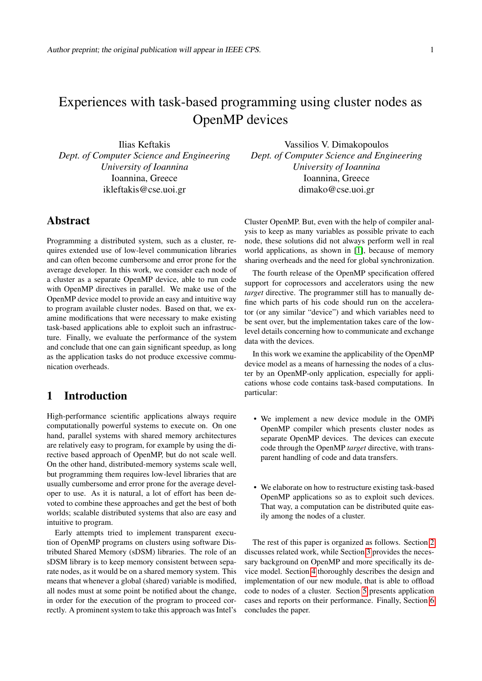# Experiences with task-based programming using cluster nodes as OpenMP devices

Ilias Keftakis *Dept. of Computer Science and Engineering University of Ioannina* Ioannina, Greece ikleftakis@cse.uoi.gr

## Abstract

Programming a distributed system, such as a cluster, requires extended use of low-level communication libraries and can often become cumbersome and error prone for the average developer. In this work, we consider each node of a cluster as a separate OpenMP device, able to run code with OpenMP directives in parallel. We make use of the OpenMP device model to provide an easy and intuitive way to program available cluster nodes. Based on that, we examine modifications that were necessary to make existing task-based applications able to exploit such an infrastructure. Finally, we evaluate the performance of the system and conclude that one can gain significant speedup, as long as the application tasks do not produce excessive communication overheads.

# 1 Introduction

High-performance scientific applications always require computationally powerful systems to execute on. On one hand, parallel systems with shared memory architectures are relatively easy to program, for example by using the directive based approach of OpenMP, but do not scale well. On the other hand, distributed-memory systems scale well, but programming them requires low-level libraries that are usually cumbersome and error prone for the average developer to use. As it is natural, a lot of effort has been devoted to combine these approaches and get the best of both worlds; scalable distributed systems that also are easy and intuitive to program.

Early attempts tried to implement transparent execution of OpenMP programs on clusters using software Distributed Shared Memory (sDSM) libraries. The role of an sDSM library is to keep memory consistent between separate nodes, as it would be on a shared memory system. This means that whenever a global (shared) variable is modified, all nodes must at some point be notified about the change, in order for the execution of the program to proceed correctly. A prominent system to take this approach was Intel's

Vassilios V. Dimakopoulos *Dept. of Computer Science and Engineering University of Ioannina* Ioannina, Greece dimako@cse.uoi.gr

Cluster OpenMP. But, even with the help of compiler analysis to keep as many variables as possible private to each node, these solutions did not always perform well in real world applications, as shown in [\[1\]](#page-7-0), because of memory sharing overheads and the need for global synchronization.

The fourth release of the OpenMP specification offered support for coprocessors and accelerators using the new *target* directive. The programmer still has to manually define which parts of his code should run on the accelerator (or any similar "device") and which variables need to be sent over, but the implementation takes care of the lowlevel details concerning how to communicate and exchange data with the devices.

In this work we examine the applicability of the OpenMP device model as a means of harnessing the nodes of a cluster by an OpenMP-only application, especially for applications whose code contains task-based computations. In particular:

- We implement a new device module in the OMPi OpenMP compiler which presents cluster nodes as separate OpenMP devices. The devices can execute code through the OpenMP *target* directive, with transparent handling of code and data transfers.
- We elaborate on how to restructure existing task-based OpenMP applications so as to exploit such devices. That way, a computation can be distributed quite easily among the nodes of a cluster.

The rest of this paper is organized as follows. Section [2](#page-1-0) discusses related work, while Section [3](#page-1-1) provides the necessary background on OpenMP and more specifically its device model. Section [4](#page-2-0) thoroughly describes the design and implementation of our new module, that is able to offload code to nodes of a cluster. Section [5](#page-4-0) presents application cases and reports on their performance. Finally, Section [6](#page-7-1) concludes the paper.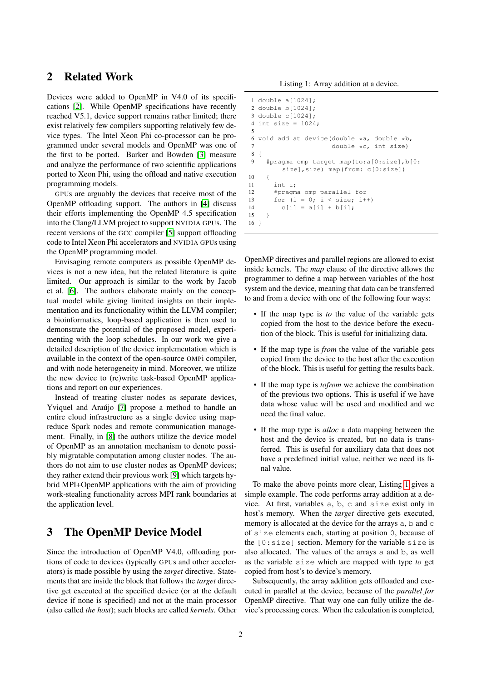# <span id="page-1-0"></span>2 Related Work

Devices were added to OpenMP in V4.0 of its specifications [\[2\]](#page-7-2). While OpenMP specifications have recently reached V5.1, device support remains rather limited; there exist relatively few compilers supporting relatively few device types. The Intel Xeon Phi co-processor can be programmed under several models and OpenMP was one of the first to be ported. Barker and Bowden [\[3\]](#page-7-3) measure and analyze the performance of two scientific applications ported to Xeon Phi, using the offload and native execution programming models.

GPUs are arguably the devices that receive most of the OpenMP offloading support. The authors in [\[4\]](#page-7-4) discuss their efforts implementing the OpenMP 4.5 specification into the Clang/LLVM project to support NVIDIA GPUs. The recent versions of the GCC compiler [\[5\]](#page-8-0) support offloading code to Intel Xeon Phi accelerators and NVIDIA GPUs using the OpenMP programming model.

Envisaging remote computers as possible OpenMP devices is not a new idea, but the related literature is quite limited. Our approach is similar to the work by Jacob et al. [\[6\]](#page-8-1). The authors elaborate mainly on the conceptual model while giving limited insights on their implementation and its functionality within the LLVM compiler; a bioinformatics, loop-based application is then used to demonstrate the potential of the proposed model, experimenting with the loop schedules. In our work we give a detailed description of the device implementation which is available in the context of the open-source OMPi compiler, and with node heterogeneity in mind. Moreover, we utilize the new device to (re)write task-based OpenMP applications and report on our experiences.

Instead of treating cluster nodes as separate devices, Yviquel and Araújo [\[7\]](#page-8-2) propose a method to handle an entire cloud infrastructure as a single device using mapreduce Spark nodes and remote communication management. Finally, in [\[8\]](#page-8-3) the authors utilize the device model of OpenMP as an annotation mechanism to denote possibly migratable computation among cluster nodes. The authors do not aim to use cluster nodes as OpenMP devices; they rather extend their previous work [\[9\]](#page-8-4) which targets hybrid MPI+OpenMP applications with the aim of providing work-stealing functionality across MPI rank boundaries at the application level.

# <span id="page-1-1"></span>3 The OpenMP Device Model

Since the introduction of OpenMP V4.0, offloading portions of code to devices (typically GPUs and other accelerators) is made possible by using the *target* directive. Statements that are inside the block that follows the *target* directive get executed at the specified device (or at the default device if none is specified) and not at the main processor (also called *the host*); such blocks are called *kernels*. Other

```
1 double a[1024];
2 double b[1024];
3 double c[1024];
4 int size = 1024;
 5
6 void add_at_device(double \stara, double \starb, 7 double \starc. int size)
                       double *c, int size)
8 {
9 #pragma omp target map(to:a[0:size],b[0:
         size],size) map(from: c[0:size])
10 {
11 int i;
12 #pragma omp parallel for
13 for (i = 0; i < size; i++)14 c[i] = a[i] + b[i];15 \quad \}16 }
```
OpenMP directives and parallel regions are allowed to exist inside kernels. The *map* clause of the directive allows the programmer to define a map between variables of the host system and the device, meaning that data can be transferred to and from a device with one of the following four ways:

- If the map type is *to* the value of the variable gets copied from the host to the device before the execution of the block. This is useful for initializing data.
- If the map type is *from* the value of the variable gets copied from the device to the host after the execution of the block. This is useful for getting the results back.
- If the map type is *tofrom* we achieve the combination of the previous two options. This is useful if we have data whose value will be used and modified and we need the final value.
- If the map type is *alloc* a data mapping between the host and the device is created, but no data is transferred. This is useful for auxiliary data that does not have a predefined initial value, neither we need its final value.

To make the above points more clear, Listing [1](#page-1-2) gives a simple example. The code performs array addition at a device. At first, variables a, b, c and size exist only in host's memory. When the *target* directive gets executed, memory is allocated at the device for the arrays a, b and c of size elements each, starting at position 0, because of the [0:size] section. Memory for the variable size is also allocated. The values of the arrays a and b, as well as the variable size which are mapped with type *to* get copied from host's to device's memory.

Subsequently, the array addition gets offloaded and executed in parallel at the device, because of the *parallel for* OpenMP directive. That way one can fully utilize the device's processing cores. When the calculation is completed,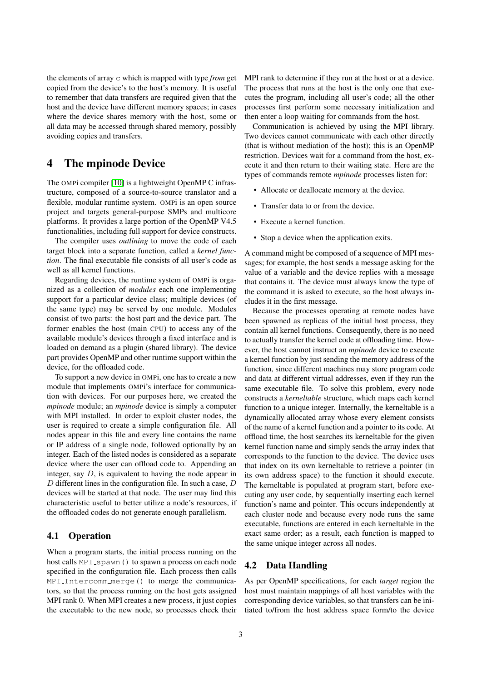the elements of array c which is mapped with type *from* get copied from the device's to the host's memory. It is useful to remember that data transfers are required given that the host and the device have different memory spaces; in cases where the device shares memory with the host, some or all data may be accessed through shared memory, possibly avoiding copies and transfers.

# <span id="page-2-0"></span>4 The mpinode Device

The OMPi compiler [\[10\]](#page-8-5) is a lightweight OpenMP C infrastructure, composed of a source-to-source translator and a flexible, modular runtime system. OMPi is an open source project and targets general-purpose SMPs and multicore platforms. It provides a large portion of the OpenMP V4.5 functionalities, including full support for device constructs.

The compiler uses *outlining* to move the code of each target block into a separate function, called a *kernel function*. The final executable file consists of all user's code as well as all kernel functions.

Regarding devices, the runtime system of OMPi is organized as a collection of *modules* each one implementing support for a particular device class; multiple devices (of the same type) may be served by one module. Modules consist of two parts: the host part and the device part. The former enables the host (main CPU) to access any of the available module's devices through a fixed interface and is loaded on demand as a plugin (shared library). The device part provides OpenMP and other runtime support within the device, for the offloaded code.

To support a new device in OMPi, one has to create a new module that implements OMPi's interface for communication with devices. For our purposes here, we created the *mpinode* module; an *mpinode* device is simply a computer with MPI installed. In order to exploit cluster nodes, the user is required to create a simple configuration file. All nodes appear in this file and every line contains the name or IP address of a single node, followed optionally by an integer. Each of the listed nodes is considered as a separate device where the user can offload code to. Appending an integer, say D, is equivalent to having the node appear in D different lines in the configuration file. In such a case,  $D$ devices will be started at that node. The user may find this characteristic useful to better utilize a node's resources, if the offloaded codes do not generate enough parallelism.

### 4.1 Operation

When a program starts, the initial process running on the host calls MPI spawn() to spawn a process on each node specified in the configuration file. Each process then calls MPI Intercomm merge() to merge the communicators, so that the process running on the host gets assigned MPI rank 0. When MPI creates a new process, it just copies the executable to the new node, so processes check their MPI rank to determine if they run at the host or at a device. The process that runs at the host is the only one that executes the program, including all user's code; all the other processes first perform some necessary initialization and then enter a loop waiting for commands from the host.

Communication is achieved by using the MPI library. Two devices cannot communicate with each other directly (that is without mediation of the host); this is an OpenMP restriction. Devices wait for a command from the host, execute it and then return to their waiting state. Here are the types of commands remote *mpinode* processes listen for:

- Allocate or deallocate memory at the device.
- Transfer data to or from the device.
- Execute a kernel function.
- Stop a device when the application exits.

A command might be composed of a sequence of MPI messages; for example, the host sends a message asking for the value of a variable and the device replies with a message that contains it. The device must always know the type of the command it is asked to execute, so the host always includes it in the first message.

Because the processes operating at remote nodes have been spawned as replicas of the initial host process, they contain all kernel functions. Consequently, there is no need to actually transfer the kernel code at offloading time. However, the host cannot instruct an *mpinode* device to execute a kernel function by just sending the memory address of the function, since different machines may store program code and data at different virtual addresses, even if they run the same executable file. To solve this problem, every node constructs a *kerneltable* structure, which maps each kernel function to a unique integer. Internally, the kerneltable is a dynamically allocated array whose every element consists of the name of a kernel function and a pointer to its code. At offload time, the host searches its kerneltable for the given kernel function name and simply sends the array index that corresponds to the function to the device. The device uses that index on its own kerneltable to retrieve a pointer (in its own address space) to the function it should execute. The kerneltable is populated at program start, before executing any user code, by sequentially inserting each kernel function's name and pointer. This occurs independently at each cluster node and because every node runs the same executable, functions are entered in each kerneltable in the exact same order; as a result, each function is mapped to the same unique integer across all nodes.

### 4.2 Data Handling

As per OpenMP specifications, for each *target* region the host must maintain mappings of all host variables with the corresponding device variables, so that transfers can be initiated to/from the host address space form/to the device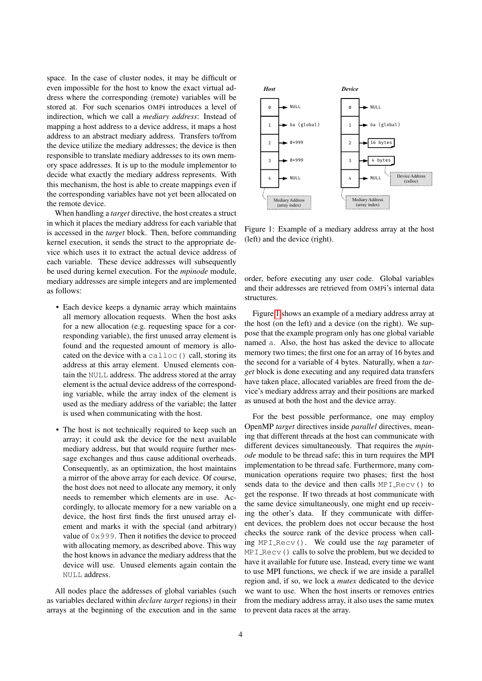space. In the case of cluster nodes, it may be difficult or even impossible for the host to know the exact virtual address where the corresponding (remote) variables will be stored at. For such scenarios OMPi introduces a level of indirection, which we call a *mediary address*: Instead of mapping a host address to a device address, it maps a host address to an abstract mediary address. Transfers to/from the device utilize the mediary addresses; the device is then responsible to translate mediary addresses to its own memory space addresses. It is up to the module implementor to decide what exactly the mediary address represents. With this mechanism, the host is able to create mappings even if the corresponding variables have not yet been allocated on the remote device.

When handling a *target* directive, the host creates a struct in which it places the mediary address for each variable that is accessed in the *target* block. Then, before commanding kernel execution, it sends the struct to the appropriate device which uses it to extract the actual device address of each variable. These device addresses will subsequently be used during kernel execution. For the *mpinode* module, mediary addresses are simple integers and are implemented as follows:

- Each device keeps a dynamic array which maintains all memory allocation requests. When the host asks for a new allocation (e.g. requesting space for a corresponding variable), the first unused array element is found and the requested amount of memory is allocated on the device with a calloc() call, storing its address at this array element. Unused elements contain the NULL address. The address stored at the array element is the actual device address of the corresponding variable, while the array index of the element is used as the mediary address of the variable; the latter is used when communicating with the host.
- The host is not technically required to keep such an array; it could ask the device for the next available mediary address, but that would require further message exchanges and thus cause additional overheads. Consequently, as an optimization, the host maintains a mirror of the above array for each device. Of course, the host does not need to allocate any memory, it only needs to remember which elements are in use. Accordingly, to allocate memory for a new variable on a device, the host first finds the first unused array element and marks it with the special (and arbitrary) value of 0x999. Then it notifies the device to proceed with allocating memory, as described above. This way the host knows in advance the mediary address that the device will use. Unused elements again contain the NULL address.

All nodes place the addresses of global variables (such as variables declared within *declare target* regions) in their arrays at the beginning of the execution and in the same

<span id="page-3-0"></span>

Figure 1: Example of a mediary address array at the host (left) and the device (right).

order, before executing any user code. Global variables and their addresses are retrieved from OMPi's internal data structures.

Figure [1](#page-3-0) shows an example of a mediary address array at the host (on the left) and a device (on the right). We suppose that the example program only has one global variable named a. Also, the host has asked the device to allocate memory two times; the first one for an array of 16 bytes and the second for a variable of 4 bytes. Naturally, when a *target* block is done executing and any required data transfers have taken place, allocated variables are freed from the device's mediary address array and their positions are marked as unused at both the host and the device array.

For the best possible performance, one may employ OpenMP *target* directives inside *parallel* directives, meaning that different threads at the host can communicate with different devices simultaneously. That requires the *mpinode* module to be thread safe; this in turn requires the MPI implementation to be thread safe. Furthermore, many communication operations require two phases; first the host sends data to the device and then calls MPI Recv() to get the response. If two threads at host communicate with the same device simultaneously, one might end up receiving the other's data. If they communicate with different devices, the problem does not occur because the host checks the source rank of the device process when calling MPI Recv(). We could use the *tag* parameter of MPI\_Recv() calls to solve the problem, but we decided to have it available for future use. Instead, every time we want to use MPI functions, we check if we are inside a parallel region and, if so, we lock a *mutex* dedicated to the device we want to use. When the host inserts or removes entries from the mediary address array, it also uses the same mutex to prevent data races at the array.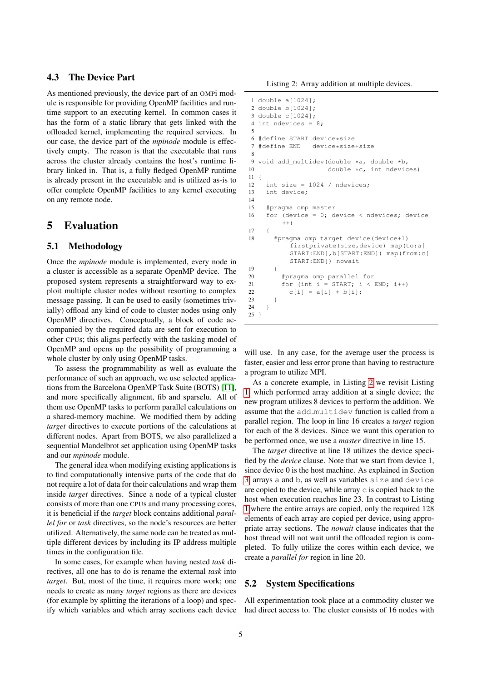### 4.3 The Device Part

As mentioned previously, the device part of an OMPi module is responsible for providing OpenMP facilities and runtime support to an executing kernel. In common cases it has the form of a static library that gets linked with the offloaded kernel, implementing the required services. In our case, the device part of the *mpinode* module is effectively empty. The reason is that the executable that runs across the cluster already contains the host's runtime library linked in. That is, a fully fledged OpenMP runtime is already present in the executable and is utilized as-is to offer complete OpenMP facilities to any kernel executing on any remote node.

### <span id="page-4-0"></span>5 Evaluation

### 5.1 Methodology

Once the *mpinode* module is implemented, every node in a cluster is accessible as a separate OpenMP device. The proposed system represents a straightforward way to exploit multiple cluster nodes without resorting to complex message passing. It can be used to easily (sometimes trivially) offload any kind of code to cluster nodes using only OpenMP directives. Conceptually, a block of code accompanied by the required data are sent for execution to other CPUs; this aligns perfectly with the tasking model of OpenMP and opens up the possibility of programming a whole cluster by only using OpenMP tasks.

To assess the programmability as well as evaluate the performance of such an approach, we use selected applications from the Barcelona OpenMP Task Suite (BOTS) [\[11\]](#page-8-6), and more specifically alignment, fib and sparselu. All of them use OpenMP tasks to perform parallel calculations on a shared-memory machine. We modified them by adding *target* directives to execute portions of the calculations at different nodes. Apart from BOTS, we also parallelized a sequential Mandelbrot set application using OpenMP tasks and our *mpinode* module.

The general idea when modifying existing applications is to find computationally intensive parts of the code that do not require a lot of data for their calculations and wrap them inside *target* directives. Since a node of a typical cluster consists of more than one CPUs and many processing cores, it is beneficial if the *target* block contains additional *parallel for* or *task* directives, so the node's resources are better utilized. Alternatively, the same node can be treated as multiple different devices by including its IP address multiple times in the configuration file.

In some cases, for example when having nested *task* directives, all one has to do is rename the external *task* into *target*. But, most of the time, it requires more work; one needs to create as many *target* regions as there are devices (for example by splitting the iterations of a loop) and specify which variables and which array sections each device

Listing 2: Array addition at multiple devices.

```
1 double a[1024];
2 double b[1024];
3 double c[1024];
4 int ndevices = 8;
 5
6 #define START device*size<br>7 #define END device*size
  7 #define END device*size+size
8
9 void add_multidev(double *a, double *b,
10 double \starc, int ndevices)
11 {
12 int size = 1024 / ndevices;
13 int device;
14
15 #pragma omp master
16 for (device = 0; device < ndevices; device
         ++)
17 {
18 #pragma omp target device(device+1)
           firstprivate(size,device) map(to:a[
           START:END],b[START:END]) map(from:c[
           START:END]) nowait
19 {
20 #pragma omp parallel for
21 for (int i = \text{START}; i \lt \text{END}; i++)22 c[i] = a[i] + b[i];23 }
24 }
25 }
```
will use. In any case, for the average user the process is faster, easier and less error prone than having to restructure a program to utilize MPI.

As a concrete example, in Listing [2](#page-4-1) we revisit Listing [1,](#page-1-2) which performed array addition at a single device; the new program utilizes 8 devices to perform the addition. We assume that the add multidev function is called from a parallel region. The loop in line 16 creates a *target* region for each of the 8 devices. Since we want this operation to be performed once, we use a *master* directive in line 15.

The *target* directive at line 18 utilizes the device specified by the *device* clause. Note that we start from device 1, since device 0 is the host machine. As explained in Section [3,](#page-1-1) arrays a and b, as well as variables size and device are copied to the device, while array  $\circ$  is copied back to the host when execution reaches line 23. In contrast to Listing [1](#page-1-2) where the entire arrays are copied, only the required 128 elements of each array are copied per device, using appropriate array sections. The *nowait* clause indicates that the host thread will not wait until the offloaded region is completed. To fully utilize the cores within each device, we create a *parallel for* region in line 20.

#### 5.2 System Specifications

All experimentation took place at a commodity cluster we had direct access to. The cluster consists of 16 nodes with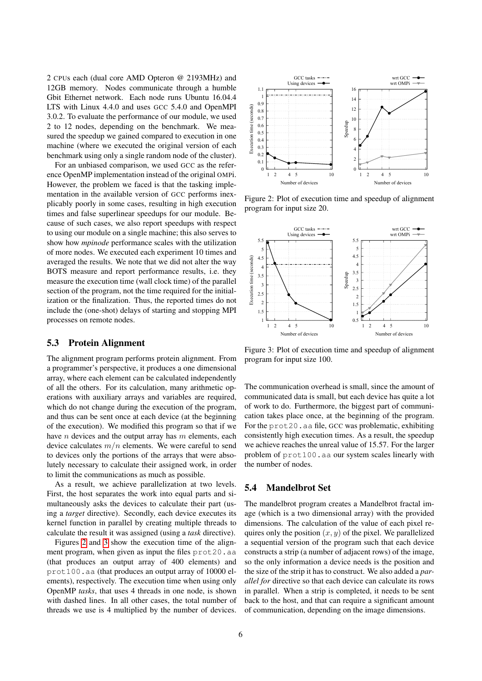2 CPUs each (dual core AMD Opteron @ 2193MHz) and 12GB memory. Nodes communicate through a humble Gbit Ethernet network. Each node runs Ubuntu 16.04.4 LTS with Linux 4.4.0 and uses GCC 5.4.0 and OpenMPI 3.0.2. To evaluate the performance of our module, we used 2 to 12 nodes, depending on the benchmark. We measured the speedup we gained compared to execution in one machine (where we executed the original version of each benchmark using only a single random node of the cluster).

For an unbiased comparison, we used GCC as the reference OpenMP implementation instead of the original OMPi. However, the problem we faced is that the tasking implementation in the available version of GCC performs inexplicably poorly in some cases, resulting in high execution times and false superlinear speedups for our module. Because of such cases, we also report speedups with respect to using our module on a single machine; this also serves to show how *mpinode* performance scales with the utilization of more nodes. We executed each experiment 10 times and averaged the results. We note that we did not alter the way BOTS measure and report performance results, i.e. they measure the execution time (wall clock time) of the parallel section of the program, not the time required for the initialization or the finalization. Thus, the reported times do not include the (one-shot) delays of starting and stopping MPI processes on remote nodes.

### 5.3 Protein Alignment

The alignment program performs protein alignment. From a programmer's perspective, it produces a one dimensional array, where each element can be calculated independently of all the others. For its calculation, many arithmetic operations with auxiliary arrays and variables are required, which do not change during the execution of the program, and thus can be sent once at each device (at the beginning of the execution). We modified this program so that if we have  $n$  devices and the output array has  $m$  elements, each device calculates  $m/n$  elements. We were careful to send to devices only the portions of the arrays that were absolutely necessary to calculate their assigned work, in order to limit the communications as much as possible.

As a result, we achieve parallelization at two levels. First, the host separates the work into equal parts and simultaneously asks the devices to calculate their part (using a *target* directive). Secondly, each device executes its kernel function in parallel by creating multiple threads to calculate the result it was assigned (using a *task* directive).

Figures [2](#page-5-0) and [3](#page-5-1) show the execution time of the alignment program, when given as input the files prot20.aa (that produces an output array of 400 elements) and prot100.aa (that produces an output array of 10000 elements), respectively. The execution time when using only OpenMP *tasks*, that uses 4 threads in one node, is shown with dashed lines. In all other cases, the total number of threads we use is 4 multiplied by the number of devices.

<span id="page-5-0"></span>

Figure 2: Plot of execution time and speedup of alignment program for input size 20.

<span id="page-5-1"></span>

Figure 3: Plot of execution time and speedup of alignment program for input size 100.

The communication overhead is small, since the amount of communicated data is small, but each device has quite a lot of work to do. Furthermore, the biggest part of communication takes place once, at the beginning of the program. For the prot20.aa file, GCC was problematic, exhibiting consistently high execution times. As a result, the speedup we achieve reaches the unreal value of 15.57. For the larger problem of prot100.aa our system scales linearly with the number of nodes.

#### 5.4 Mandelbrot Set

The mandelbrot program creates a Mandelbrot fractal image (which is a two dimensional array) with the provided dimensions. The calculation of the value of each pixel requires only the position  $(x, y)$  of the pixel. We parallelized a sequential version of the program such that each device constructs a strip (a number of adjacent rows) of the image, so the only information a device needs is the position and the size of the strip it has to construct. We also added a *parallel for* directive so that each device can calculate its rows in parallel. When a strip is completed, it needs to be sent back to the host, and that can require a significant amount of communication, depending on the image dimensions.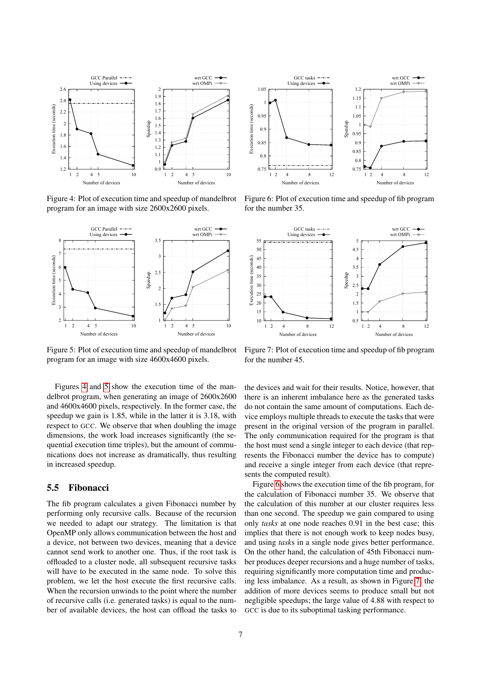<span id="page-6-0"></span>

Figure 4: Plot of execution time and speedup of mandelbrot program for an image with size 2600x2600 pixels.

<span id="page-6-1"></span>

Figure 5: Plot of execution time and speedup of mandelbrot program for an image with size 4600x4600 pixels.

Figures [4](#page-6-0) and [5](#page-6-1) show the execution time of the mandelbrot program, when generating an image of 2600x2600 and 4600x4600 pixels, respectively. In the former case, the speedup we gain is 1.85, while in the latter it is 3.18, with respect to GCC. We observe that when doubling the image dimensions, the work load increases significantly (the sequential execution time triples), but the amount of communications does not increase as dramatically, thus resulting in increased speedup.

#### 5.5 Fibonacci

The fib program calculates a given Fibonacci number by performing only recursive calls. Because of the recursion we needed to adapt our strategy. The limitation is that OpenMP only allows communication between the host and a device, not between two devices, meaning that a device cannot send work to another one. Thus, if the root task is offloaded to a cluster node, all subsequent recursive tasks will have to be executed in the same node. To solve this problem, we let the host execute the first recursive calls. When the recursion unwinds to the point where the number of recursive calls (i.e. generated tasks) is equal to the number of available devices, the host can offload the tasks to

<span id="page-6-2"></span>

Figure 6: Plot of execution time and speedup of fib program for the number 35.

<span id="page-6-3"></span>

Figure 7: Plot of execution time and speedup of fib program for the number 45.

the devices and wait for their results. Notice, however, that there is an inherent imbalance here as the generated tasks do not contain the same amount of computations. Each device employs multiple threads to execute the tasks that were present in the original version of the program in parallel. The only communication required for the program is that the host must send a single integer to each device (that represents the Fibonacci number the device has to compute) and receive a single integer from each device (that represents the computed result).

Figure [6](#page-6-2) shows the execution time of the fib program, for the calculation of Fibonacci number 35. We observe that the calculation of this number at our cluster requires less than one second. The speedup we gain compared to using only *tasks* at one node reaches 0.91 in the best case; this implies that there is not enough work to keep nodes busy, and using *task*s in a single node gives better performance. On the other hand, the calculation of 45th Fibonacci number produces deeper recursions and a huge number of tasks, requiring significantly more computation time and producing less imbalance. As a result, as shown in Figure [7,](#page-6-3) the addition of more devices seems to produce small but not negligible speedups; the large value of 4.88 with respect to GCC is due to its suboptimal tasking performance.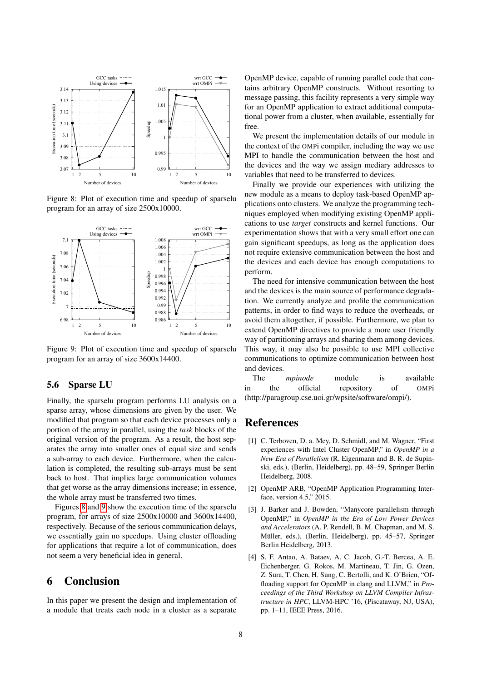<span id="page-7-5"></span>

Figure 8: Plot of execution time and speedup of sparselu program for an array of size 2500x10000.

<span id="page-7-6"></span>

Figure 9: Plot of execution time and speedup of sparselu program for an array of size 3600x14400.

#### 5.6 Sparse LU

Finally, the sparselu program performs LU analysis on a sparse array, whose dimensions are given by the user. We modified that program so that each device processes only a portion of the array in parallel, using the *task* blocks of the original version of the program. As a result, the host separates the array into smaller ones of equal size and sends a sub-array to each device. Furthermore, when the calculation is completed, the resulting sub-arrays must be sent back to host. That implies large communication volumes that get worse as the array dimensions increase; in essence, the whole array must be transferred two times.

Figures [8](#page-7-5) and [9](#page-7-6) show the execution time of the sparselu program, for arrays of size 2500x10000 and 3600x14400, respectively. Because of the serious communication delays, we essentially gain no speedups. Using cluster offloading for applications that require a lot of communication, does not seem a very beneficial idea in general.

### <span id="page-7-1"></span>6 Conclusion

In this paper we present the design and implementation of a module that treats each node in a cluster as a separate OpenMP device, capable of running parallel code that contains arbitrary OpenMP constructs. Without resorting to message passing, this facility represents a very simple way for an OpenMP application to extract additional computational power from a cluster, when available, essentially for free.

We present the implementation details of our module in the context of the OMPi compiler, including the way we use MPI to handle the communication between the host and the devices and the way we assign mediary addresses to variables that need to be transferred to devices.

Finally we provide our experiences with utilizing the new module as a means to deploy task-based OpenMP applications onto clusters. We analyze the programming techniques employed when modifying existing OpenMP applications to use *target* constructs and kernel functions. Our experimentation shows that with a very small effort one can gain significant speedups, as long as the application does not require extensive communication between the host and the devices and each device has enough computations to perform.

The need for intensive communication between the host and the devices is the main source of performance degradation. We currently analyze and profile the communication patterns, in order to find ways to reduce the overheads, or avoid them altogether, if possible. Furthermore, we plan to extend OpenMP directives to provide a more user friendly way of partitioning arrays and sharing them among devices. This way, it may also be possible to use MPI collective communications to optimize communication between host and devices.

The *mpinode* module is available in the official repository of OMPi (http://paragroup.cse.uoi.gr/wpsite/software/ompi/).

### References

- <span id="page-7-0"></span>[1] C. Terboven, D. a. Mey, D. Schmidl, and M. Wagner, "First" experiences with Intel Cluster OpenMP," in *OpenMP in a New Era of Parallelism* (R. Eigenmann and B. R. de Supinski, eds.), (Berlin, Heidelberg), pp. 48–59, Springer Berlin Heidelberg, 2008.
- <span id="page-7-2"></span>[2] OpenMP ARB, "OpenMP Application Programming Interface, version 4.5," 2015.
- <span id="page-7-3"></span>[3] J. Barker and J. Bowden, "Manycore parallelism through OpenMP," in *OpenMP in the Era of Low Power Devices and Accelerators* (A. P. Rendell, B. M. Chapman, and M. S. Müller, eds.), (Berlin, Heidelberg), pp. 45–57, Springer Berlin Heidelberg, 2013.
- <span id="page-7-4"></span>[4] S. F. Antao, A. Bataev, A. C. Jacob, G.-T. Bercea, A. E. Eichenberger, G. Rokos, M. Martineau, T. Jin, G. Ozen, Z. Sura, T. Chen, H. Sung, C. Bertolli, and K. O'Brien, "Offloading support for OpenMP in clang and LLVM," in *Proceedings of the Third Workshop on LLVM Compiler Infrastructure in HPC*, LLVM-HPC '16, (Piscataway, NJ, USA), pp. 1–11, IEEE Press, 2016.